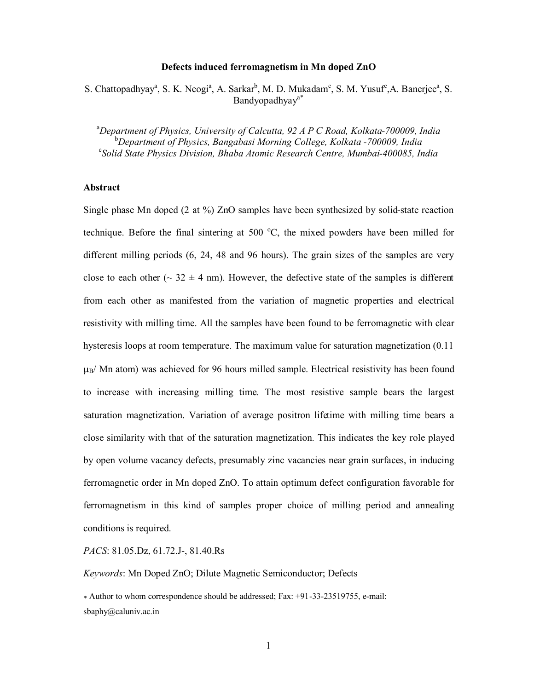#### **Defects induced ferromagnetism in Mn doped ZnO**

S. Chattopadhyay<sup>a</sup>, S. K. Neogi<sup>a</sup>, A. Sarkar<sup>b</sup>, M. D. Mukadam<sup>c</sup>, S. M. Yusuf<sup>c</sup>, A. Banerjee<sup>a</sup>, S. Bandyopadhyay<sup>a\*</sup>

<sup>a</sup>*Department of Physics, University of Calcutta, 92 A P C Road, Kolkata-700009, India* <sup>b</sup>*Department of Physics, Bangabasi Morning College, Kolkata -700009, India* <sup>c</sup>*Solid State Physics Division, Bhaba Atomic Research Centre, Mumbai-400085, India*

# **Abstract**

Single phase Mn doped (2 at %) ZnO samples have been synthesized by solid-state reaction technique. Before the final sintering at 500  $^{\circ}$ C, the mixed powders have been milled for different milling periods (6, 24, 48 and 96 hours). The grain sizes of the samples are very close to each other ( $\sim$  32  $\pm$  4 nm). However, the defective state of the samples is different from each other as manifested from the variation of magnetic properties and electrical resistivity with milling time. All the samples have been found to be ferromagnetic with clear hysteresis loops at room temperature. The maximum value for saturation magnetization (0.11  $\mu_B$ / Mn atom) was achieved for 96 hours milled sample. Electrical resistivity has been found to increase with increasing milling time. The most resistive sample bears the largest saturation magnetization. Variation of average positron lifetime with milling time bears a close similarity with that of the saturation magnetization. This indicates the key role played by open volume vacancy defects, presumably zinc vacancies near grain surfaces, in inducing ferromagnetic order in Mn doped ZnO. To attain optimum defect configuration favorable for ferromagnetism in this kind of samples proper choice of milling period and annealing conditions is required.

*PACS*: 81.05.Dz, 61.72.J-, 81.40.Rs

*Keywords*: Mn Doped ZnO; Dilute Magnetic Semiconductor; Defects

 $\overline{a}$ *\** Author to whom correspondence should be addressed; Fax: +91-33-23519755, e-mail: sbaphy@caluniv.ac.in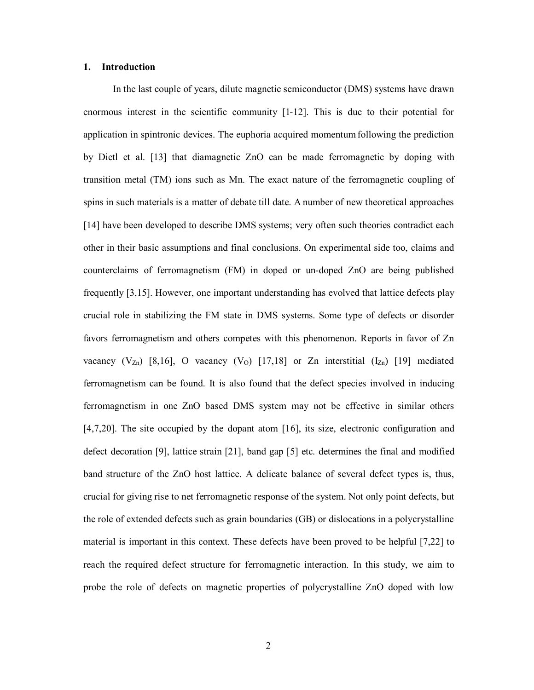### **1. Introduction**

In the last couple of years, dilute magnetic semiconductor (DMS) systems have drawn enormous interest in the scientific community [1-12]. This is due to their potential for application in spintronic devices. The euphoria acquired momentum following the prediction by Dietl et al. [13] that diamagnetic ZnO can be made ferromagnetic by doping with transition metal (TM) ions such as Mn. The exact nature of the ferromagnetic coupling of spins in such materials is a matter of debate till date. A number of new theoretical approaches [14] have been developed to describe DMS systems; very often such theories contradict each other in their basic assumptions and final conclusions. On experimental side too, claims and counterclaims of ferromagnetism (FM) in doped or un-doped ZnO are being published frequently [3,15]. However, one important understanding has evolved that lattice defects play crucial role in stabilizing the FM state in DMS systems. Some type of defects or disorder favors ferromagnetism and others competes with this phenomenon. Reports in favor of Zn vacancy  $(V_{Zn})$  [8,16], O vacancy  $(V_0)$  [17,18] or Zn interstitial  $(I_{Zn})$  [19] mediated ferromagnetism can be found. It is also found that the defect species involved in inducing ferromagnetism in one ZnO based DMS system may not be effective in similar others [4,7,20]. The site occupied by the dopant atom [16], its size, electronic configuration and defect decoration [9], lattice strain [21], band gap [5] etc. determines the final and modified band structure of the ZnO host lattice. A delicate balance of several defect types is, thus, crucial for giving rise to net ferromagnetic response of the system. Not only point defects, but the role of extended defects such as grain boundaries (GB) or dislocations in a polycrystalline material is important in this context. These defects have been proved to be helpful [7,22] to reach the required defect structure for ferromagnetic interaction. In this study, we aim to probe the role of defects on magnetic properties of polycrystalline ZnO doped with low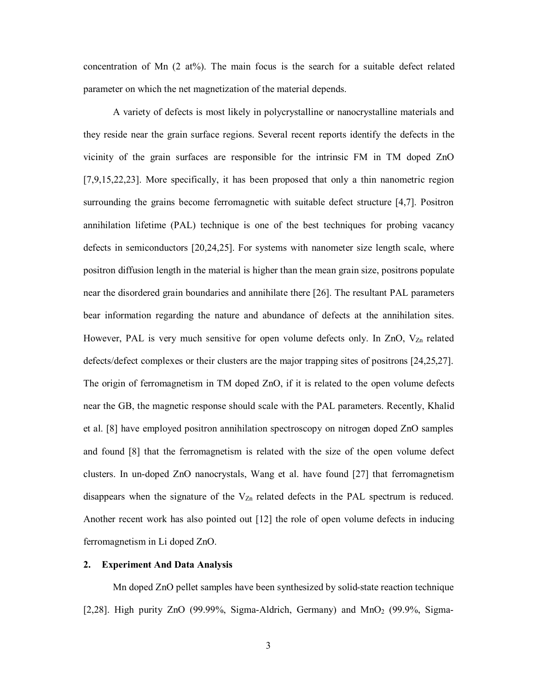concentration of Mn  $(2 \text{ at} \%)$ . The main focus is the search for a suitable defect related parameter on which the net magnetization of the material depends.

A variety of defects is most likely in polycrystalline or nanocrystalline materials and they reside near the grain surface regions. Several recent reports identify the defects in the vicinity of the grain surfaces are responsible for the intrinsic FM in TM doped ZnO [7,9,15,22,23]. More specifically, it has been proposed that only a thin nanometric region surrounding the grains become ferromagnetic with suitable defect structure [4,7]. Positron annihilation lifetime (PAL) technique is one of the best techniques for probing vacancy defects in semiconductors [20,24,25]. For systems with nanometer size length scale, where positron diffusion length in the material is higher than the mean grain size, positrons populate near the disordered grain boundaries and annihilate there [26]. The resultant PAL parameters bear information regarding the nature and abundance of defects at the annihilation sites. However, PAL is very much sensitive for open volume defects only. In ZnO,  $V_{Zn}$  related defects/defect complexes or their clusters are the major trapping sites of positrons [24,25,27]. The origin of ferromagnetism in TM doped ZnO, if it is related to the open volume defects near the GB, the magnetic response should scale with the PAL parameters. Recently, Khalid et al. [8] have employed positron annihilation spectroscopy on nitrogen doped ZnO samples and found [8] that the ferromagnetism is related with the size of the open volume defect clusters. In un-doped ZnO nanocrystals, Wang et al. have found [27] that ferromagnetism disappears when the signature of the  $V_{Zn}$  related defects in the PAL spectrum is reduced. Another recent work has also pointed out [12] the role of open volume defects in inducing ferromagnetism in Li doped ZnO.

# **2. Experiment And Data Analysis**

Mn doped ZnO pellet samples have been synthesized by solid-state reaction technique [2,28]. High purity ZnO (99.99%, Sigma-Aldrich, Germany) and  $MnO<sub>2</sub>$  (99.9%, Sigma-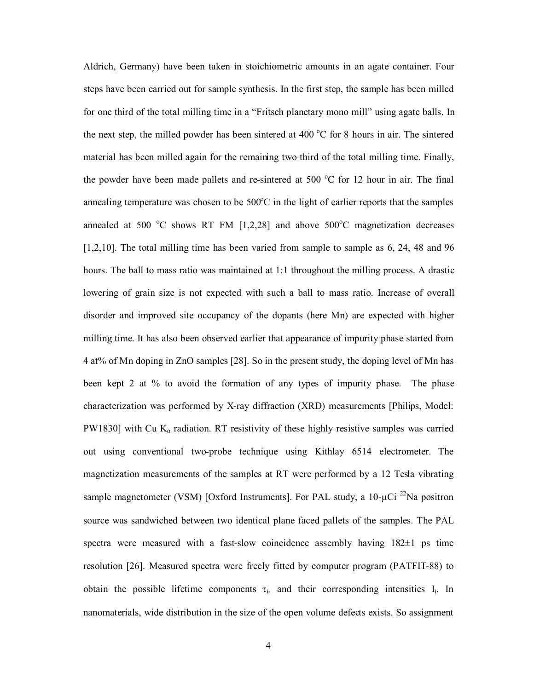Aldrich, Germany) have been taken in stoichiometric amounts in an agate container. Four steps have been carried out for sample synthesis. In the first step, the sample has been milled for one third of the total milling time in a "Fritsch planetary mono mill" using agate balls. In the next step, the milled powder has been sintered at 400  $^{\circ}$ C for 8 hours in air. The sintered material has been milled again for the remaining two third of the total milling time. Finally, the powder have been made pallets and re-sintered at 500  $^{\circ}$ C for 12 hour in air. The final annealing temperature was chosen to be  $500^{\circ}$ C in the light of earlier reports that the samples annealed at 500  $\degree$ C shows RT FM [1,2,28] and above 500 $\degree$ C magnetization decreases [1,2,10]. The total milling time has been varied from sample to sample as 6, 24, 48 and 96 hours. The ball to mass ratio was maintained at 1:1 throughout the milling process. A drastic lowering of grain size is not expected with such a ball to mass ratio. Increase of overall disorder and improved site occupancy of the dopants (here Mn) are expected with higher milling time. It has also been observed earlier that appearance of impurity phase started from 4 at% of Mn doping in ZnO samples [28]. So in the present study, the doping level of Mn has been kept 2 at % to avoid the formation of any types of impurity phase. The phase characterization was performed by X-ray diffraction (XRD) measurements [Philips, Model: PW1830] with Cu  $K_{\alpha}$  radiation. RT resistivity of these highly resistive samples was carried out using conventional two-probe technique using Kithlay 6514 electrometer. The magnetization measurements of the samples at RT were performed by a 12 Tesla vibrating sample magnetometer (VSM) [Oxford Instruments]. For PAL study, a  $10$ - $\mu$ Ci <sup>22</sup>Na positron source was sandwiched between two identical plane faced pallets of the samples. The PAL spectra were measured with a fast-slow coincidence assembly having 182±1 ps time resolution [26]. Measured spectra were freely fitted by computer program (PATFIT-88) to obtain the possible lifetime components  $\tau_i$ , and their corresponding intensities  $I_i$ . In nanomaterials, wide distribution in the size of the open volume defects exists. So assignment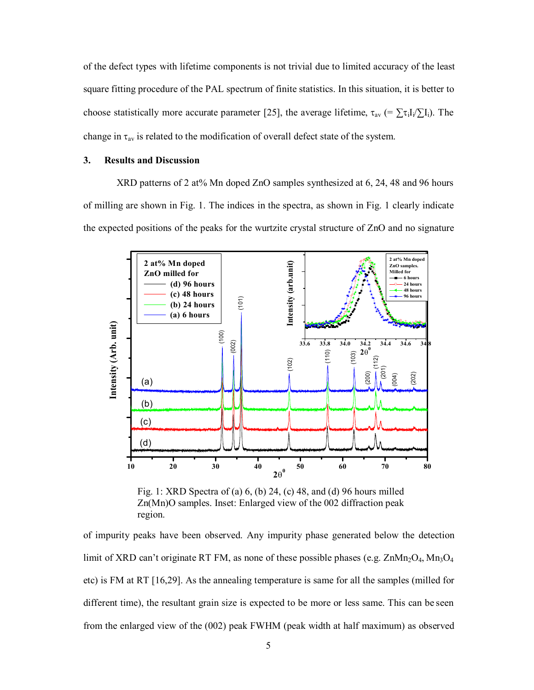of the defect types with lifetime components is not trivial due to limited accuracy of the least square fitting procedure of the PAL spectrum of finite statistics. In this situation, it is better to choose statistically more accurate parameter [25], the average lifetime,  $\tau_{av}$  (=  $\Sigma \tau_i I_i / \Sigma I_i$ ). The change in  $\tau_{av}$  is related to the modification of overall defect state of the system.

# **3. Results and Discussion**

XRD patterns of 2 at% Mn doped ZnO samples synthesized at 6, 24, 48 and 96 hours of milling are shown in Fig. 1. The indices in the spectra, as shown in Fig. 1 clearly indicate the expected positions of the peaks for the wurtzite crystal structure of ZnO and no signature



Fig. 1: XRD Spectra of (a) 6, (b) 24, (c) 48, and (d) 96 hours milled Zn(Mn)O samples. Inset: Enlarged view of the 002 diffraction peak region.

of impurity peaks have been observed. Any impurity phase generated below the detection limit of XRD can't originate RT FM, as none of these possible phases (e.g.  $\text{ZnMn}_2\text{O}_4$ ,  $\text{Mn}_3\text{O}_4$ etc) is FM at RT [16,29]. As the annealing temperature is same for all the samples (milled for different time), the resultant grain size is expected to be more or less same. This can be seen from the enlarged view of the (002) peak FWHM (peak width at half maximum) as observed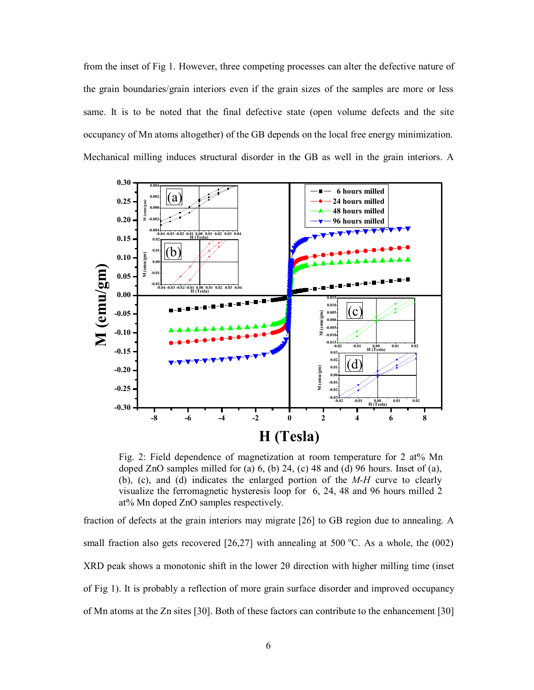from the inset of Fig 1. However, three competing processes can alter the defective nature of the grain boundaries/grain interiors even if the grain sizes of the samples are more or less same. It is to be noted that the final defective state (open volume defects and the site occupancy of Mn atoms altogether) of the GB depends on the local free energy minimization. Mechanical milling induces structural disorder in the GB as well in the grain interiors. A



Fig. 2: Field dependence of magnetization at room temperature for 2 at% Mn doped ZnO samples milled for (a)  $6$ , (b) 24, (c) 48 and (d) 96 hours. Inset of (a), (b), (c), and (d) indicates the enlarged portion of the *M-H* curve to clearly visualize the ferromagnetic hysteresis loop for 6, 24, 48 and 96 hours milled 2 at% Mn doped ZnO samples respectively.

fraction of defects at the grain interiors may migrate [26] to GB region due to annealing. A small fraction also gets recovered  $[26,27]$  with annealing at 500 °C. As a whole, the (002) XRD peak shows a monotonic shift in the lower 2θ direction with higher milling time (inset of Fig 1). It is probably a reflection of more grain surface disorder and improved occupancy of Mn atoms at the Zn sites [30]. Both of these factors can contribute to the enhancement [30]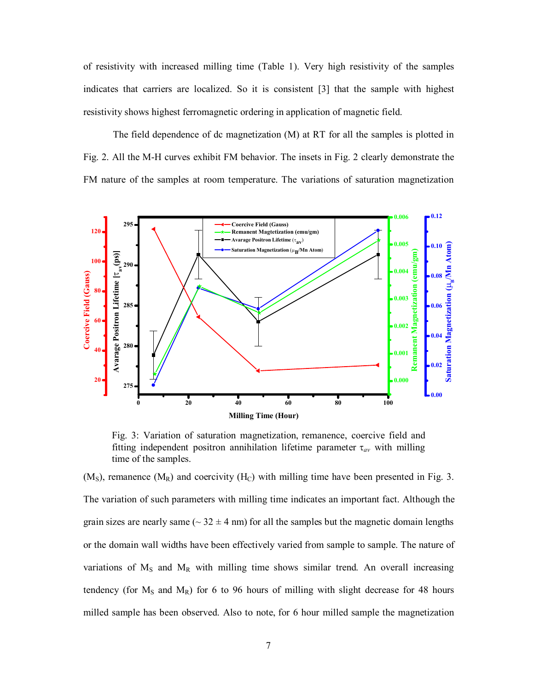of resistivity with increased milling time (Table 1). Very high resistivity of the samples indicates that carriers are localized. So it is consistent [3] that the sample with highest resistivity shows highest ferromagnetic ordering in application of magnetic field.

The field dependence of dc magnetization (M) at RT for all the samples is plotted in Fig. 2. All the M-H curves exhibit FM behavior. The insets in Fig. 2 clearly demonstrate the FM nature of the samples at room temperature. The variations of saturation magnetization



Fig. 3: Variation of saturation magnetization, remanence, coercive field and fitting independent positron annihilation lifetime parameter  $\tau_{av}$  with milling time of the samples.

 $(M<sub>S</sub>)$ , remanence  $(M<sub>R</sub>)$  and coercivity  $(H<sub>C</sub>)$  with milling time have been presented in Fig. 3. The variation of such parameters with milling time indicates an important fact. Although the grain sizes are nearly same ( $\sim$  32  $\pm$  4 nm) for all the samples but the magnetic domain lengths or the domain wall widths have been effectively varied from sample to sample. The nature of variations of  $M_s$  and  $M_R$  with milling time shows similar trend. An overall increasing tendency (for  $M_s$  and  $M_R$ ) for 6 to 96 hours of milling with slight decrease for 48 hours milled sample has been observed. Also to note, for 6 hour milled sample the magnetization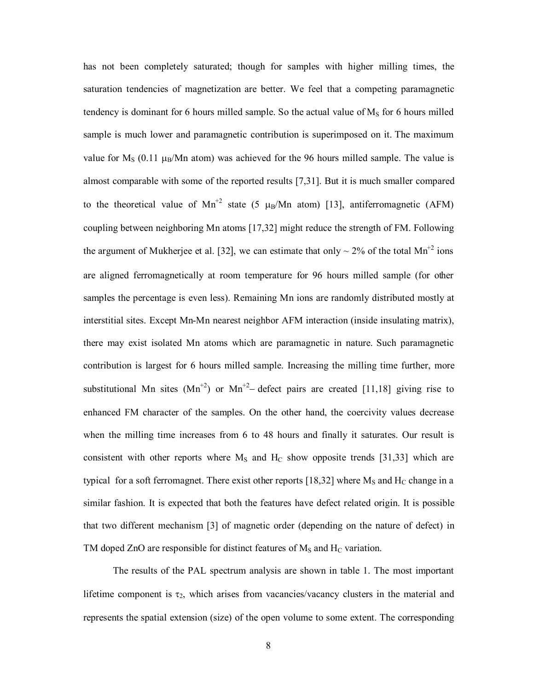has not been completely saturated; though for samples with higher milling times, the saturation tendencies of magnetization are better. We feel that a competing paramagnetic tendency is dominant for 6 hours milled sample. So the actual value of  $M<sub>S</sub>$  for 6 hours milled sample is much lower and paramagnetic contribution is superimposed on it. The maximum value for  $M<sub>S</sub>$  (0.11  $\mu$ <sub>B</sub>/Mn atom) was achieved for the 96 hours milled sample. The value is almost comparable with some of the reported results [7,31]. But it is much smaller compared to the theoretical value of  $Mn^{2}$  state (5  $\mu_B/Mn$  atom) [13], antiferromagnetic (AFM) coupling between neighboring Mn atoms [17,32] might reduce the strength of FM. Following the argument of Mukherjee et al. [32], we can estimate that only  $\sim$  2% of the total Mn<sup>+2</sup> ions are aligned ferromagnetically at room temperature for 96 hours milled sample (for other samples the percentage is even less). Remaining Mn ions are randomly distributed mostly at interstitial sites. Except Mn-Mn nearest neighbor AFM interaction (inside insulating matrix), there may exist isolated Mn atoms which are paramagnetic in nature. Such paramagnetic contribution is largest for 6 hours milled sample. Increasing the milling time further, more substitutional Mn sites  $(Mn^{2})$  or  $Mn^{2}$  defect pairs are created [11,18] giving rise to enhanced FM character of the samples. On the other hand, the coercivity values decrease when the milling time increases from 6 to 48 hours and finally it saturates. Our result is consistent with other reports where  $M_S$  and  $H_C$  show opposite trends [31,33] which are typical for a soft ferromagnet. There exist other reports [18,32] where  $M_s$  and  $H_c$  change in a similar fashion. It is expected that both the features have defect related origin. It is possible that two different mechanism [3] of magnetic order (depending on the nature of defect) in TM doped ZnO are responsible for distinct features of  $M_S$  and  $H_C$  variation.

The results of the PAL spectrum analysis are shown in table 1. The most important lifetime component is  $\tau_2$ , which arises from vacancies/vacancy clusters in the material and represents the spatial extension (size) of the open volume to some extent. The corresponding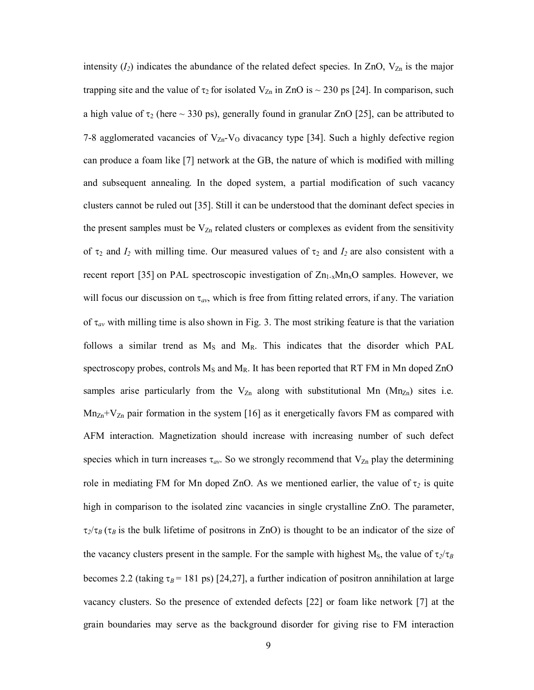intensity  $(I_2)$  indicates the abundance of the related defect species. In ZnO,  $V_{Zn}$  is the major trapping site and the value of  $\tau_2$  for isolated  $V_{Zn}$  in ZnO is  $\sim$  230 ps [24]. In comparison, such a high value of  $\tau_2$  (here  $\sim$  330 ps), generally found in granular ZnO [25], can be attributed to 7-8 agglomerated vacancies of  $V_{Zn}$ - $V_{O}$  divacancy type [34]. Such a highly defective region can produce a foam like [7] network at the GB, the nature of which is modified with milling and subsequent annealing. In the doped system, a partial modification of such vacancy clusters cannot be ruled out [35]. Still it can be understood that the dominant defect species in the present samples must be  $V_{Zn}$  related clusters or complexes as evident from the sensitivity of  $\tau_2$  and  $I_2$  with milling time. Our measured values of  $\tau_2$  and  $I_2$  are also consistent with a recent report [35] on PAL spectroscopic investigation of  $Zn_{1-x}Mn_{x}O$  samples. However, we will focus our discussion on  $\tau_{av}$ , which is free from fitting related errors, if any. The variation of  $\tau_{av}$  with milling time is also shown in Fig. 3. The most striking feature is that the variation follows a similar trend as  $M_s$  and  $M_R$ . This indicates that the disorder which PAL spectroscopy probes, controls  $M_S$  and  $M_R$ . It has been reported that RT FM in Mn doped ZnO samples arise particularly from the  $V_{Zn}$  along with substitutional Mn (Mn<sub>Zn</sub>) sites i.e.  $Mn<sub>Zn</sub>+V<sub>Zn</sub>$  pair formation in the system [16] as it energetically favors FM as compared with AFM interaction. Magnetization should increase with increasing number of such defect species which in turn increases  $\tau_{av}$ . So we strongly recommend that  $V_{Zn}$  play the determining role in mediating FM for Mn doped ZnO. As we mentioned earlier, the value of  $\tau_2$  is quite high in comparison to the isolated zinc vacancies in single crystalline ZnO. The parameter,  $\tau_2/\tau_B(\tau_B)$  is the bulk lifetime of positrons in ZnO) is thought to be an indicator of the size of the vacancy clusters present in the sample. For the sample with highest  $M_s$ , the value of  $\tau_2/\tau_B$ becomes 2.2 (taking  $\tau_B$  = 181 ps) [24,27], a further indication of positron annihilation at large vacancy clusters. So the presence of extended defects [22] or foam like network [7] at the grain boundaries may serve as the background disorder for giving rise to FM interaction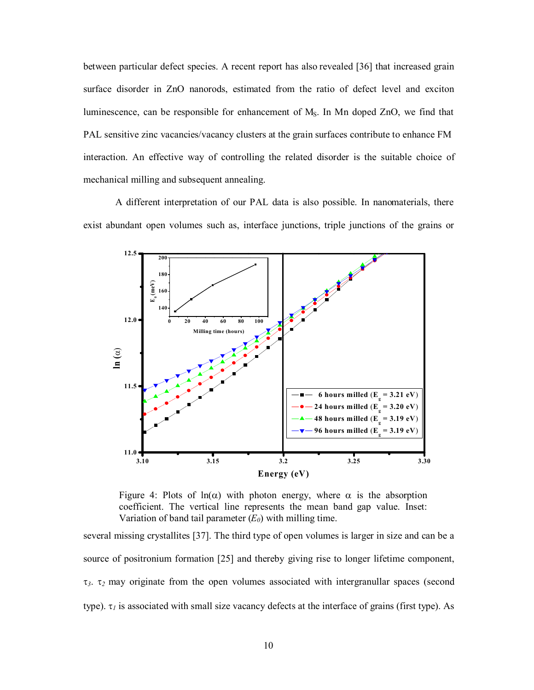between particular defect species. A recent report has also revealed [36] that increased grain surface disorder in ZnO nanorods, estimated from the ratio of defect level and exciton luminescence, can be responsible for enhancement of MS. In Mn doped ZnO, we find that PAL sensitive zinc vacancies/vacancy clusters at the grain surfaces contribute to enhance FM interaction. An effective way of controlling the related disorder is the suitable choice of mechanical milling and subsequent annealing.

A different interpretation of our PAL data is also possible. In nanomaterials, there exist abundant open volumes such as, interface junctions, triple junctions of the grains or



Figure 4: Plots of  $ln(\alpha)$  with photon energy, where  $\alpha$  is the absorption coefficient. The vertical line represents the mean band gap value. Inset: Variation of band tail parameter  $(E_0)$  with milling time.

several missing crystallites [37]. The third type of open volumes is larger in size and can be a source of positronium formation [25] and thereby giving rise to longer lifetime component,  $\tau_3$ ,  $\tau_2$  may originate from the open volumes associated with intergranullar spaces (second type).  $\tau_l$  is associated with small size vacancy defects at the interface of grains (first type). As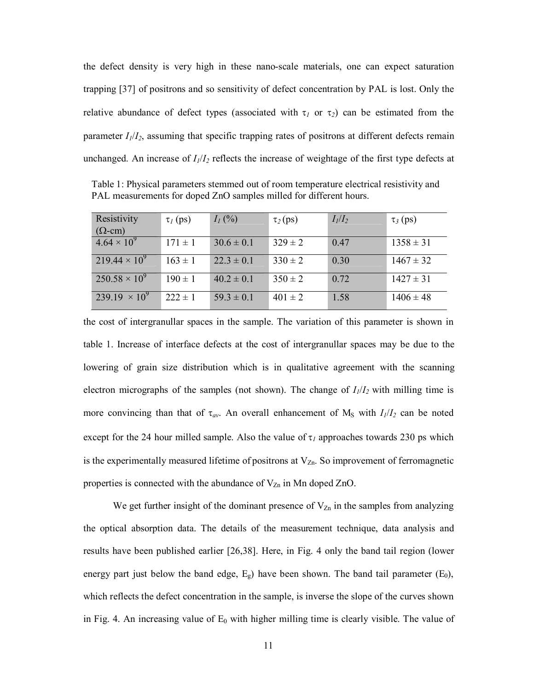the defect density is very high in these nano-scale materials, one can expect saturation trapping [37] of positrons and so sensitivity of defect concentration by PAL is lost. Only the relative abundance of defect types (associated with  $\tau_1$  or  $\tau_2$ ) can be estimated from the parameter *I1*/*I2*, assuming that specific trapping rates of positrons at different defects remain unchanged. An increase of *I1*/*I<sup>2</sup>* reflects the increase of weightage of the first type defects at

Table 1: Physical parameters stemmed out of room temperature electrical resistivity and PAL measurements for doped ZnO samples milled for different hours.

| Resistivity            | $\tau_I$ (ps) | $I_1$ (%)      | $\tau_2$ (ps) | $I_l/I_2$ | $\tau_3$ (ps) |
|------------------------|---------------|----------------|---------------|-----------|---------------|
| $(\Omega$ -cm)         |               |                |               |           |               |
| $4.64 \times 10^{9}$   | $171 \pm 1$   | $30.6 \pm 0.1$ | $329 \pm 2$   | 0.47      | $1358 \pm 31$ |
| $219.44 \times 10^{9}$ | $163 \pm 1$   | $22.3 \pm 0.1$ | $330 \pm 2$   | 0.30      | $1467 \pm 32$ |
| $250.58 \times 10^9$   | $190 \pm 1$   | $40.2 \pm 0.1$ | $350 \pm 2$   | 0.72      | $1427 \pm 31$ |
| $239.19 \times 10^{9}$ | $222 \pm 1$   | $59.3 \pm 0.1$ | $401 \pm 2$   | 1.58      | $1406 \pm 48$ |

the cost of intergranullar spaces in the sample. The variation of this parameter is shown in table 1. Increase of interface defects at the cost of intergranullar spaces may be due to the lowering of grain size distribution which is in qualitative agreement with the scanning electron micrographs of the samples (not shown). The change of  $I_1/I_2$  with milling time is more convincing than that of  $\tau_{av}$ . An overall enhancement of M<sub>S</sub> with  $I_1/I_2$  can be noted except for the 24 hour milled sample. Also the value of  $\tau_l$  approaches towards 230 ps which is the experimentally measured lifetime of positrons at  $V_{Zn}$ . So improvement of ferromagnetic properties is connected with the abundance of  $V_{Zn}$  in Mn doped ZnO.

We get further insight of the dominant presence of  $V_{Zn}$  in the samples from analyzing the optical absorption data. The details of the measurement technique, data analysis and results have been published earlier [26,38]. Here, in Fig. 4 only the band tail region (lower energy part just below the band edge,  $E_g$ ) have been shown. The band tail parameter  $(E_0)$ , which reflects the defect concentration in the sample, is inverse the slope of the curves shown in Fig. 4. An increasing value of  $E_0$  with higher milling time is clearly visible. The value of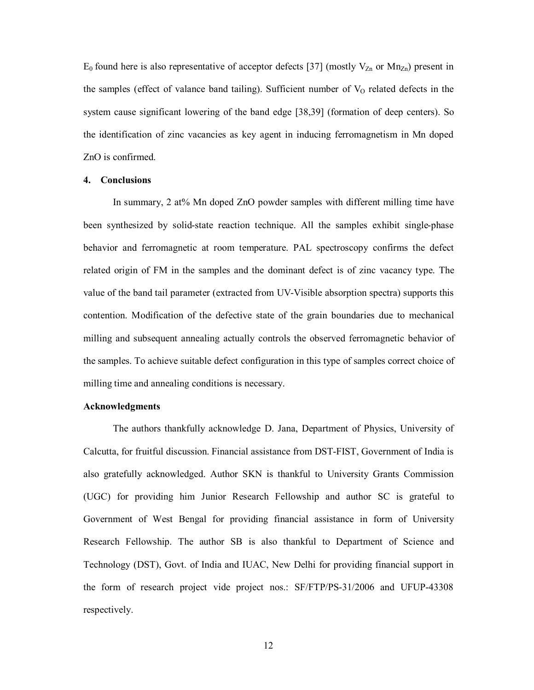$E_0$  found here is also representative of acceptor defects [37] (mostly  $V_{Zn}$  or  $Mn_{Zn}$ ) present in the samples (effect of valance band tailing). Sufficient number of  $V_0$  related defects in the system cause significant lowering of the band edge [38,39] (formation of deep centers). So the identification of zinc vacancies as key agent in inducing ferromagnetism in Mn doped ZnO is confirmed.

#### **4. Conclusions**

In summary, 2 at% Mn doped ZnO powder samples with different milling time have been synthesized by solid-state reaction technique. All the samples exhibit single-phase behavior and ferromagnetic at room temperature. PAL spectroscopy confirms the defect related origin of FM in the samples and the dominant defect is of zinc vacancy type. The value of the band tail parameter (extracted from UV-Visible absorption spectra) supports this contention. Modification of the defective state of the grain boundaries due to mechanical milling and subsequent annealing actually controls the observed ferromagnetic behavior of the samples. To achieve suitable defect configuration in this type of samples correct choice of milling time and annealing conditions is necessary.

### **Acknowledgments**

The authors thankfully acknowledge D. Jana, Department of Physics, University of Calcutta, for fruitful discussion. Financial assistance from DST-FIST, Government of India is also gratefully acknowledged. Author SKN is thankful to University Grants Commission (UGC) for providing him Junior Research Fellowship and author SC is grateful to Government of West Bengal for providing financial assistance in form of University Research Fellowship. The author SB is also thankful to Department of Science and Technology (DST), Govt. of India and IUAC, New Delhi for providing financial support in the form of research project vide project nos.: SF/FTP/PS-31/2006 and UFUP-43308 respectively.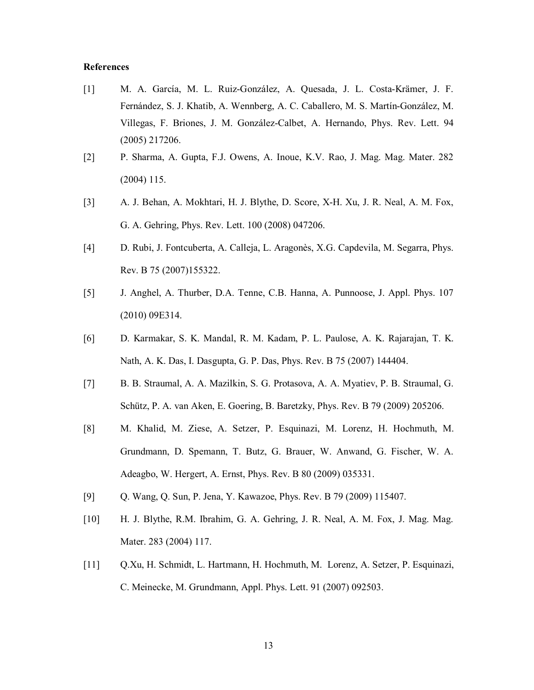### **References**

- [1] M. A. García, M. L. Ruiz-González, A. Quesada, J. L. Costa-Krämer, J. F. Fernández, S. J. Khatib, A. Wennberg, A. C. Caballero, M. S. Martín-González, M. Villegas, F. Briones, J. M. González-Calbet, A. Hernando, Phys. Rev. Lett. 94 (2005) 217206.
- [2] P. Sharma, A. Gupta, F.J. Owens, A. Inoue, K.V. Rao, J. Mag. Mag. Mater. 282 (2004) 115.
- [3] A. J. Behan, A. Mokhtari, H. J. Blythe, D. Score, X-H. Xu, J. R. Neal, A. M. Fox, G. A. Gehring, Phys. Rev. Lett. 100 (2008) 047206.
- [4] D. Rubi, J. Fontcuberta, A. Calleja, L. Aragonès, X.G. Capdevila, M. Segarra, Phys. Rev. B 75 (2007)155322.
- [5] J. Anghel, A. Thurber, D.A. Tenne, C.B. Hanna, A. Punnoose, J. Appl. Phys. 107 (2010) 09E314.
- [6] D. Karmakar, S. K. Mandal, R. M. Kadam, P. L. Paulose, A. K. Rajarajan, T. K. Nath, A. K. Das, I. Dasgupta, G. P. Das, Phys. Rev. B 75 (2007) 144404.
- [7] B. B. Straumal, A. A. Mazilkin, S. G. Protasova, A. A. Myatiev, P. B. Straumal, G. Schütz, P. A. van Aken, E. Goering, B. Baretzky, Phys. Rev. B 79 (2009) 205206.
- [8] M. Khalid, M. Ziese, A. Setzer, P. Esquinazi, M. Lorenz, H. Hochmuth, M. Grundmann, D. Spemann, T. Butz, G. Brauer, W. Anwand, G. Fischer, W. A. Adeagbo, W. Hergert, A. Ernst, Phys. Rev. B 80 (2009) 035331.
- [9] Q. Wang, Q. Sun, P. Jena, Y. Kawazoe, Phys. Rev. B 79 (2009) 115407.
- [10] H. J. Blythe, R.M. Ibrahim, G. A. Gehring, J. R. Neal, A. M. Fox, J. Mag. Mag. Mater. 283 (2004) 117.
- [11] Q.Xu, H. Schmidt, L. Hartmann, H. Hochmuth, M. Lorenz, A. Setzer, P. Esquinazi, C. Meinecke, M. Grundmann, Appl. Phys. Lett. 91 (2007) 092503.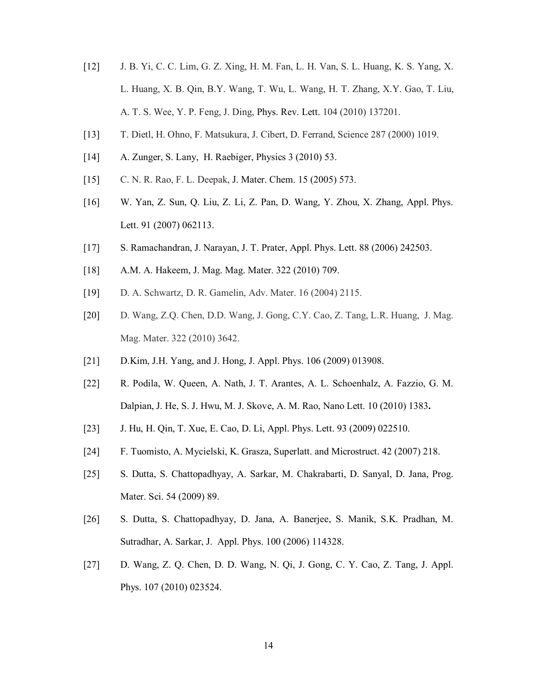- [12] J. B. Yi, C. C. Lim, G. Z. Xing, H. M. Fan, L. H. Van, S. L. Huang, K. S. Yang, X. L. Huang, X. B. Qin, B.Y. Wang, T. Wu, L. Wang, H. T. Zhang, X.Y. Gao, T. Liu, A. T. S. Wee, Y. P. Feng, J. Ding, Phys. Rev. Lett. 104 (2010) 137201.
- [13] T. Dietl, H. Ohno, F. Matsukura, J. Cibert, D. Ferrand, Science 287 (2000) 1019.
- [14] A. Zunger, S. Lany, H. Raebiger, Physics 3 (2010) 53.
- [15] C. N. R. Rao, F. L. Deepak, J. Mater. Chem. 15 (2005) 573.
- [16] W. Yan, Z. Sun, Q. Liu, Z. Li, Z. Pan, D. Wang, Y. Zhou, X. Zhang, Appl. Phys. Lett. 91 (2007) 062113.
- [17] S. Ramachandran, J. Narayan, J. T. Prater, Appl. Phys. Lett. 88 (2006) 242503.
- [18] A.M. A. Hakeem, J. Mag. Mag. Mater. 322 (2010) 709.
- [19] D. A. Schwartz, D. R. Gamelin, Adv. Mater. 16 (2004) 2115.
- [20] D. Wang, Z.Q. Chen, D.D. Wang, J. Gong, C.Y. Cao, Z. Tang, L.R. Huang, J. Mag. Mag. Mater. 322 (2010) 3642.
- [21] D.Kim, J.H. Yang, and J. Hong, J. Appl. Phys. 106 (2009) 013908.
- [22] R. Podila, W. Queen, A. Nath, J. T. Arantes, A. L. Schoenhalz, A. Fazzio, G. M. Dalpian, J. He, S. J. Hwu, M. J. Skove, A. M. Rao, Nano Lett. 10 (2010) 1383**.**
- [23] J. Hu, H. Qin, T. Xue, E. Cao, D. Li, Appl. Phys. Lett. 93 (2009) 022510.
- [24] F. Tuomisto, A. Mycielski, K. Grasza, Superlatt. and Microstruct. 42 (2007) 218.
- [25] S. Dutta, S. Chattopadhyay, A. Sarkar, M. Chakrabarti, D. Sanyal, D. Jana, Prog. Mater. Sci. 54 (2009) 89.
- [26] S. Dutta, S. Chattopadhyay, D. Jana, A. Banerjee, S. Manik, S.K. Pradhan, M. Sutradhar, A. Sarkar, J. Appl. Phys. 100 (2006) 114328.
- [27] D. Wang, Z. Q. Chen, D. D. Wang, N. Qi, J. Gong, C. Y. Cao, Z. Tang, J. Appl. Phys. 107 (2010) 023524.